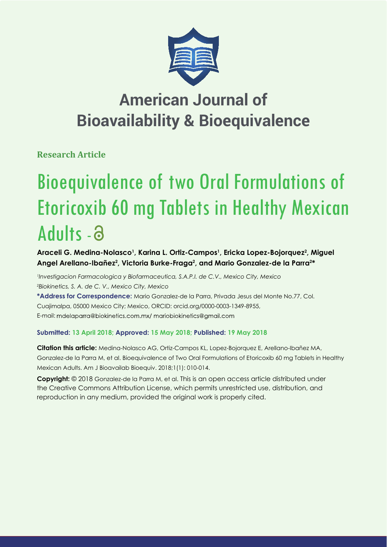

## **American Journal of Bioavailability & Bioequivalence**

**Research Article**

# Bioequivalence of two Oral Formulations of Etoricoxib 60 mg Tablets in Healthy Mexican Adults -

Araceli G. Medina-Nolasco<sup>1</sup>, Karina L. Ortiz-Campos<sup>1</sup>, Ericka Lopez-Bojorquez<sup>2</sup>, Miguel Angel Arellano-Ibañez<sup>2</sup>, Victoria Burke-Fraga<sup>2</sup>, and Mario Gonzalez-de la Parra<sup>2\*</sup>

*1 Investigacion Farmacologica y Biofarmaceutica, S.A.P.I. de C.V., Mexico City, Mexico 2 Biokinetics, S. A. de C. V., Mexico City, Mexico* **\*Address for Correspondence:** Mario Gonzalez-de la Parra, Privada Jesus del Monte No.77, Col. Cuajimalpa, 05000 Mexico City; Mexico, ORCID: orcid.org/0000-0003-1349-8955, E-mail: mdelaparra@biokinetics.com.mx/ mariobiokinetics@gmail.com

## **Submitted: 13 April 2018; Approved: 15 May 2018; Published: 19 May 2018**

**Citation this article:** Medina-Nolasco AG, Ortiz-Campos KL, Lopez-Bojorquez E, Arellano-Ibañez MA, Gonzalez-de la Parra M, et al. Bioequivalence of Two Oral Formulations of Etoricoxib 60 mg Tablets in Healthy Mexican Adults. Am J Bioavailab Bioequiv. 2018;1(1): 010-014.

**Copyright:** © 2018 Gonzalez-de la Parra M, et al. This is an open access article distributed under the Creative Commons Attribution License, which permits unrestricted use, distribution, and reproduction in any medium, provided the original work is properly cited.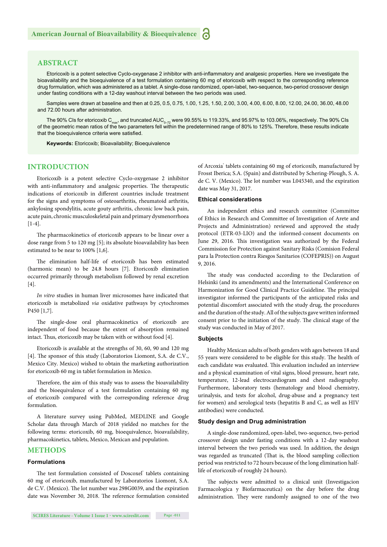## **ABSTRACT**

Etoricoxib is a potent selective Cyclo-oxygenase 2 inhibitor with anti-inflammatory and analgesic properties. Here we investigate the bioavailability and the bioequivalence of a test formulation containing 60 mg of etoricoxib with respect to the corresponding reference drug formulation, which was administered as a tablet. A single-dose randomized, open-label, two-sequence, two-period crossover design under fasting conditions with a 12-day washout interval between the two periods was used.

Samples were drawn at baseline and then at 0.25, 0.5, 0.75, 1.00, 1.25, 1.50, 2.00, 3.00, 4.00, 6.00, 8.00, 12.00, 24.00, 36.00, 48.00 and 72.00 hours after administration.

The 90% CIs for etoricoxib  $C_{\text{max}}$ , and truncated AUC<sub>0-72</sub> were 99.55% to 119.33%, and 95.97% to 103.06%, respectively. The 90% CIs of the geometric mean ratios of the two parameters fell within the predetermined range of 80% to 125%. Therefore, these results indicate that the bioequivalence criteria were satisfied.

**Keywords:** Etoricoxib; Bioavailability; Bioequivalence

## **INTRODUCTION**

Etoricoxib is a potent selective Cyclo-oxygenase 2 inhibitor with anti-inflammatory and analgesic properties. The therapeutic indications of etoricoxib in different countries include treatment for the signs and symptoms of osteoarthritis, rheumatoid arthritis, ankylosing spondylitis, acute gouty arthritis, chronic low back pain, acute pain, chronic musculoskeletal pain and primary dysmenorrhoea [1-4].

The pharmacokinetics of etoricoxib appears to be linear over a dose range from 5 to 120 mg [5]; its absolute bioavailability has been estimated to be near to 100% [1,6].

The elimination half-life of etoricoxib has been estimated (harmonic mean) to be 24.8 hours [7]. Etoricoxib elimination occurred primarily through metabolism followed by renal excretion  $[4]$ .

*In vitro* studies in human liver microsomes have indicated that etoricoxib is metabolized *via* oxidative pathways by cytochromes P450 [1,7].

The single-dose oral pharmacokinetics of etoricoxib are independent of food because the extent of absorption remained intact. Thus, etoricoxib may be taken with or without food [4].

Etoricoxib is available at the strengths of 30, 60, 90 and 120 mg [4]. The sponsor of this study (Laboratorios Liomont, S.A. de C.V., Mexico City. Mexico) wished to obtain the marketing authorization for etoricoxib 60 mg in tablet formulation in Mexico.

Therefore, the aim of this study was to assess the bioavailability and the bioequivalence of a test formulation containing 60 mg of etoricoxib compared with the corresponding reference drug formulation.

A literature survey using PubMed, MEDLINE and Google Scholar data through March of 2018 yielded no matches for the following terms: etoricoxib, 60 mg, bioequivalence, bioavailability, pharmacokinetics, tablets, Mexico, Mexican and population.

## **METHODS**

## **Formulations**

The test formulation consisted of Doscoxel' tablets containing 60 mg of etoricoxib, manufactured by Laboratorios Liomont, S.A. de C.V. (Mexico). The lot number was 298G0039, and the expiration date was November 30, 2018. The reference formulation consisted

of Arcoxia<sup>®</sup> tablets containing 60 mg of etoricoxib, manufactured by Frosst Iberica; S.A. (Spain) and distributed by Schering-Plough, S. A. de C. V. (Mexico). The lot number was L045340, and the expiration date was May 31, 2017.

#### **Ethical considerations**

An independent ethics and research committee (Committee of Ethics in Research and Committee of Investigation of Arete and Projects and Administration) reviewed and approved the study protocol (ETR-03-LIO) and the informed-consent documents on June 29, 2016. This investigation was authorized by the Federal Commission for Protection against Sanitary Risks (Comision Federal para la Protection contra Riesgos Sanitarios (COFEPRIS)) on August 9, 2016.

The study was conducted according to the Declaration of Helsinki (and its amendments) and the International Conference on Harmonization for Good Clinical Practice Guideline. The principal investigator informed the participants of the anticipated risks and potential discomfort associated with the study drug, the procedures and the duration of the study. All of the subjects gave written informed consent prior to the initiation of the study. The clinical stage of the study was conducted in May of 2017.

## **Subjects**

Healthy Mexican adults of both genders with ages between 18 and 55 years were considered to be eligible for this study. The health of each candidate was evaluated. This evaluation included an interview and a physical examination of vital signs, blood pressure, heart rate, temperature, 12-lead electrocardiogram and chest radiography. Furthermore, laboratory tests (hematology and blood chemistry, urinalysis, and tests for alcohol, drug-abuse and a pregnancy test for women) and serological tests (hepatitis B and C, as well as HIV antibodies) were conducted.

### **Study design and Drug administration**

A single-dose randomized, open-label, two-sequence, two-period crossover design under fasting conditions with a 12-day washout interval between the two periods was used. In addition, the design was regarded as truncated (That is, the blood sampling collection period was restricted to 72 hours because of the long elimination halflife of etoricoxib of roughly 24 hours).

The subjects were admitted to a clinical unit (Investigacion Farmacologica y Biofarmaceutica) on the day before the drug administration. They were randomly assigned to one of the two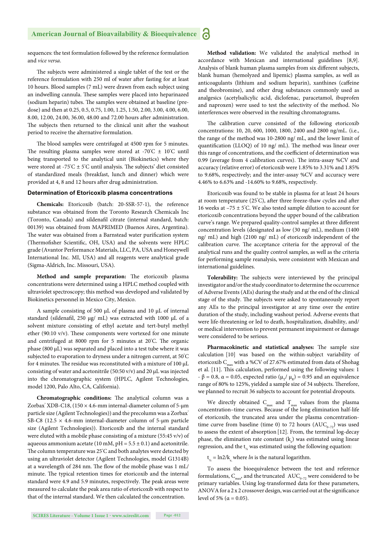sequences: the test formulation followed by the reference formulation and *vice versa*.

The subjects were administered a single tablet of the test or the reference formulation with 250 ml of water after fasting for at least 10 hours. Blood samples (7 mL) were drawn from each subject using an indwelling cannula. These samples were placed into heparinazed (sodium heparin) tubes. The samples were obtained at baseline (predose) and then at 0.25, 0.5, 0.75, 1.00, 1.25, 1.50, 2.00, 3.00, 4.00, 6.00, 8.00, 12.00, 24.00, 36.00, 48.00 and 72.00 hours after administration. The subjects then returned to the clinical unit after the washout period to receive the alternative formulation.

The blood samples were centrifuged at 4500 rpm for 5 minutes. The resulting plasma samples were stored at -70 $^{\circ}$ C  $\pm$  10 $^{\circ}$ C until being transported to the analytical unit (Biokinetics) where they were stored at -75°C  $\pm$  5°C until analysis. The subjects' diet consisted of standardized meals (breakfast, lunch and dinner) which were provided at 4, 8 and 12 hours after drug administration.

#### **Determination of Etoricoxib plasma concentrations**

**Chemicals:** Etoricoxib (batch: 20-SSR-57-1), the reference substance was obtained from the Toronto Research Chemicals Inc (Toronto, Canada) and sildenafil citrate (internal standard, batch: 00139) was obtained from MAPRIMED (Buenos Aires, Argentina). The water was obtained from a Barnstead water purification system (Thermofisher Scientific, OH, USA) and the solvents were HPLC grade (Avantor Performance Materials, LLC, PA, USA and Honeywell International Inc. MI, USA) and all reagents were analytical grade (Sigma-Aldrich, Inc. Missouri, USA).

Method and sample preparation: The etoricoxib plasma concentrations were determined using a HPLC method coupled with ultraviolet spectroscopy; this method was developed and validated by Biokinetics personnel in Mexico City, Mexico.

A sample consisting of 500 μL of plasma and 10 μL of internal standard (sildenafil, 250 μg/ mL) was extracted with 1000 μL of a solvent mixture consisting of ethyl acetate and tert-butyl methyl ether (90:10 v/v). These components were vortexed for one minute and centrifuged at 8000 rpm for 5 minutes at 20°C. The organic phase (800 μL) was separated and placed into a test tube where it was subjected to evaporation to dryness under a nitrogen current, at 50° C for 4 minutes. The residue was reconstituted with a mixture of  $100 \mu L$ consisting of water and acetonitrile (50:50 v/v) and 20 μL was injected into the chromatographic system (HPLC, Agilent Technologies, model 1200, Palo Alto, CA, California).

**Chromatographic conditions:** The analytical column was a Zorbax' XDB-C18,  $(150 \times 4.6$ -mm internal-diameter column of 5-µm particle size (Agilent Technologies)) and the precolumn was a Zorbax® SB-C8 (12.5  $\times$  4.6-mm internal-diameter column of 5-µm particle size (Agilent Technologies)). Etoricoxib and the internal standard were eluted with a mobile phase consisting of a mixture (55:45 v/v) of aqueous ammonium acetate (10 mM,  $pH = 5.5 \pm 0.1$ ) and acetonitrile. The column temperature was  $25^{\circ}$ C and both analytes were detected by using an ultraviolet detector (Agilent Technologies, model G1314B) at a wavelength of 284 nm. The flow of the mobile phase was 1 mL/ minute. The typical retention times for etoricoxib and the internal standard were 4.9 and 5.9 minutes, respectively. The peak areas were measured to calculate the peak area ratio of etoricoxib with respect to that of the internal standard. We then calculated the concentration.

**Method validation:** We validated the analytical method in accordance with Mexican and international guidelines [8,9]. Analysis of blank human plasma samples from six different subjects, blank human (hemolyzed and lipemic) plasma samples, as well as anticoagulants (lithium and sodium heparin), xanthines (caffeine and theobromine), and other drug substances commonly used as analgesics (acetylsalicylic acid, diclofenac, paracetamol, ibuprofen and naproxen) were used to test the selectivity of the method. No interferences were observed in the resulting chromatograms**.**

The calibration curve consisted of the following etoricoxib concentrations: 10, 20, 600, 1000, 1800, 2400 and 2800 ng/mL. (i.e., the range of the method was 10-2800 ng/ mL, and the lower limit of quantification (LLOQ) of 10 ng/ mL). The method was linear over this range of concentrations, and the coefficient of determination was 0.99 (average from 4 calibration curves). The intra-assay %CV and accuracy (relative error) of etoricoxib were 1.85% to 3.31% and 1.85% to 9.68%, respectively; and the inter-assay %CV and accuracy were 4.46% to 6.63% and -14.60% to 9.68%, respectively.

Etoricoxib was found to be stable in plasma for at least 24 hours at room temperature (25°C), after three freeze-thaw cycles and after 16 weeks at –75 ± 5° C. We also tested sample dilution to account for etoricoxib concentrations beyond the upper bound of the calibration curve's range. We prepared quality-control samples at three different concentration levels (designated as low (30 ng/ mL), medium (1400 ng/ mL) and high (2100 ng/ mL) of etoricoxib independent of the calibration curve. The acceptance criteria for the approval of the analytical runs and the quality control samples, as well as the criteria for performing sample reanalysis, were consistent with Mexican and international guidelines.

Tolerability: The subjects were interviewed by the principal investigator and/or the study coordinator to determine the occurrence of Adverse Events (AEs) during the study and at the end of the clinical stage of the study. The subjects were asked to spontaneously report any AEs to the principal investigator at any time over the entire duration of the study, including washout period. Adverse events that were life-threatening or led to death, hospitalization, disability, and/ or medical intervention to prevent permanent impairment or damage were considered to be serious.

Pharmacokinetic and statistical analyses: The sample size calculation [10] was based on the within-subject variability of etoricoxib  $C_{\text{max}}$  with a %CV of 27.67% estimated from data of Shohag et al. [11]. This calculation, performed using the following values: 1 -  $\beta$  = 0.8,  $\alpha$  = 0.05, expected ratio ( $\mu$ <sub>r</sub>/  $\mu$ <sub>p</sub>) = 0.95 and an equivalence range of 80% to 125%, yielded a sample size of 34 subjects. Therefore, we planned to recruit 36 subjects to account for potential dropouts.

We directly obtained  $C_{\text{max}}$  and  $T_{\text{max}}$  values from the plasma concentration–time curves. Because of the long elimination half-life of etoricoxib, the truncated area under the plasma concentrationtime curve from baseline (time 0) to 72 hours  $(AUC_{0-7})$  was used to assess the extent of absorption [12]. From, the terminal log-decay phase, the elimination rate constant  $(k_{e})$  was estimated using linear regression, and the  $t_{\mu}$  was estimated using the following equation:

 $t_{1/2} = \ln 2/k_{e}$ , where *ln* is the natural logarithm.

To assess the bioequivalence between the test and reference formulations,  $C_{\text{max}}$ , and the truncated  $AUC_{0-72}$  were considered to be primary variables. Using log-transformed data for these parameters, ANOVA for a  $2 \times 2$  crossover design, was carried out at the significance level of 5% ( $α = 0.05$ ).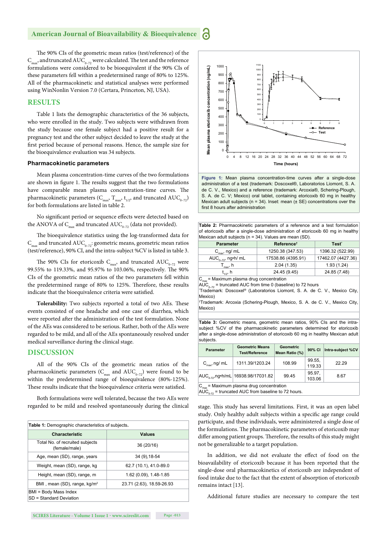#### **American Journal of Bioavailability & Bioequivalence P**

The 90% CIs of the geometric mean ratios (test/reference) of the  $C_{\text{max}}$ , and truncated AU $C_{\text{0-72}}$  were calculated. The test and the reference formulations were considered to be bioequivalent if the 90% CIs of these parameters fell within a predetermined range of 80% to 125%. All of the pharmacokinetic and statistical analyses were performed using WinNonlin Version 7.0 (Certara, Princeton, NJ, USA).

## **RESULTS**

Table 1 lists the demographic characteristics of the 36 subjects, who were enrolled in the study. Two subjects were withdrawn from the study because one female subject had a positive result for a pregnancy test and the other subject decided to leave the study at the first period because of personal reasons. Hence, the sample size for the bioequivalence evaluation was 34 subjects.

#### **Pharmacokinetic parameters**

Mean plasma concentration-time curves of the two formulations are shown in figure 1. The results suggest that the two formulations have comparable mean plasma concentration-time curves. The pharmacokinetic parameters ( $C_{\text{max}}$ ,  $T_{\text{max}}$ ,  $t_{1/2}$ , and truncated AU $C_{0-72}$ ) for both formulations are listed in table 2.

No significant period or sequence effects were detected based on the ANOVA of  $C_{\text{max}}$  and truncated AUC<sub>0-72</sub> (data not provided).

The bioequivalence statistics using the log-transformed data for  $C_{\text{max}}$  and truncated AUC<sub>0–72</sub>: geometric means, geometric mean ratios (test/reference), 90% CI, and the intra-subject %CV is listed in table 3.

The 90% CIs for etoricoxib  $\text{C}_{\text{max}}$  and truncated  $\text{AUC}_{_{0-72}}$  were 99.55% to 119.33%, and 95.97% to 103.06%, respectively. The 90% CIs of the geometric mean ratios of the two parameters fell within the predetermined range of 80% to 125%. Therefore, these results indicate that the bioequivalence criteria were satisfied.

Tolerability: Two subjects reported a total of two AEs. These events consisted of one headache and one case of diarrhea, which were reported after the administration of the test formulation. None of the AEs was considered to be serious. Rather, both of the AEs were regarded to be mild, and all of the AEs spontaneously resolved under medical surveillance during the clinical stage.

## **DISCUSSION**

All of the 90% CIs of the geometric mean ratios of the pharmacokinetic parameters ( $C_{\text{max}}$  and  $\text{AUC}_{_{0-72}}$ ) were found to be within the predetermined range of bioequivalence (80%-125%). These results indicate that the bioequivalence criteria were satisfied.

Both formulations were well tolerated, because the two AEs were regarded to be mild and resolved spontaneously during the clinical stage. This study has several limitations. First, it was an open label

| Table 1: Demographic characteristics of subjects. |                           |  |  |  |
|---------------------------------------------------|---------------------------|--|--|--|
| <b>Characteristic</b>                             | <b>Values</b>             |  |  |  |
| Total No. of recruited subjects<br>(female/male)  | 36 (20/16)                |  |  |  |
| Age, mean (SD), range, years                      | 34 (9) 18-54              |  |  |  |
| Weight, mean (SD), range, kg                      | 62.7 (10.1), 41.0-89.0    |  |  |  |
| Height, mean (SD), range, m                       | 1.62 (0.09), 1.48-1.85    |  |  |  |
| BMI, mean (SD), range, kg/m <sup>2</sup>          | 23.71 (2.63), 18.59-26.93 |  |  |  |
| BMI = Body Mass Index<br>SD = Standard Deviation  |                           |  |  |  |





|  | Table 2: Pharmacokinetic parameters of a reference and a test formulation       |  |  |  |  |
|--|---------------------------------------------------------------------------------|--|--|--|--|
|  | of etoricoxib after a single-dose administration of etoricoxib 60 mg in healthy |  |  |  |  |
|  | Mexican adult subjects ( $n = 34$ ). Values are mean (SD).                      |  |  |  |  |

| <b>Parameter</b>                                                                     | Reference <sup>+</sup> | Test <sup>*</sup>  |  |  |  |  |
|--------------------------------------------------------------------------------------|------------------------|--------------------|--|--|--|--|
| $C_{\text{max}}$ , ng/ mL                                                            | 1250.38 (347.53)       | 1396.32 (522.99)   |  |  |  |  |
| AUC <sub><math>0-72</math></sub> , ng•h/ mL                                          | 17538.86 (4395.91)     | 17462.07 (4427.36) |  |  |  |  |
| $T_{\text{max}}$ , h                                                                 | 2.04(1.35)             | 1.93(1.24)         |  |  |  |  |
| $t_{1/2}$ , h                                                                        | 24.45 (9.45)           | 24.85 (7.48)       |  |  |  |  |
| $C_{\text{max}}$ = Maximum plasma drug concentration                                 |                        |                    |  |  |  |  |
| $AUC_{0-72}$ = truncated AUC from time 0 (baseline) to 72 hours                      |                        |                    |  |  |  |  |
| Trademark: Doscoxel <sup>®</sup> (Laboratorios Liomont, S. A. de C. V., Mexico City, |                        |                    |  |  |  |  |

Mexico)

† Trademark: Arcoxia (Schering-Plough, Mexico, S. A. de C. V., Mexico City, Mexico)

**Table 3:** Geometric means, geometric mean ratios, 90% CIs and the intrasubject %CV of the pharmacokinetic parameters determined for etoricoxib after a single-dose administration of etoricoxib 60 mg in healthy Mexican adult subjects.

| Parameter                                            | <b>Geometric Means</b><br><b>Geometric</b><br>Mean Ratio (%)<br><b>Test/Reference</b> |        | 90% CI           | Intra-subject %CV |  |  |  |
|------------------------------------------------------|---------------------------------------------------------------------------------------|--------|------------------|-------------------|--|--|--|
| $C_{\text{max}}$ , ng/ mL                            | 1311.39/1203.24                                                                       | 108.99 | 99.55,<br>119.33 | 22.29             |  |  |  |
|                                                      | AUC <sub>0.72</sub> ,ng•h/mL 16938.98/17031.82                                        | 99.45  | 95.97.<br>103.06 | 8.67              |  |  |  |
| $C_{\text{max}}$ = Maximum plasma drug concentration |                                                                                       |        |                  |                   |  |  |  |

 $AUC_{0.72}$  = truncated AUC from baseline to 72 hours.

study. Only healthy adult subjects within a specific age range could participate, and these individuals, were administered a single dose of the formulations. The pharmacokinetic parameters of etoricoxib may differ among patient groups. Therefore, the results of this study might not be generalizable to a target population.

In addition, we did not evaluate the effect of food on the bioavailability of etoricoxib because it has been reported that the single-dose oral pharmacokinetics of etoricoxib are independent of food intake due to the fact that the extent of absorption of etoricoxib remains intact [13].

Additional future studies are necessary to compare the test